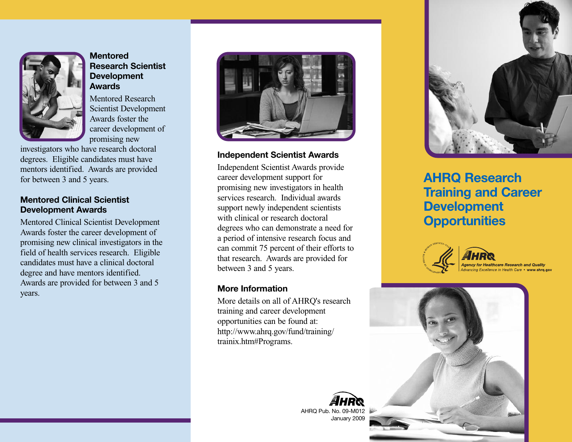

## **Mentored Research Scientist Development Awards**

Mentored Research Scientist Development Awards foster the career development of promising new

investigators who have research doctoral degrees. Eligible candidates must have mentors identified. Awards are provided for between 3 and 5 years.

## **Mentored Clinical Scientist Development Awards**

Mentored Clinical Scientist Development Awards foster the career development of promising new clinical investigators in the field of health services research. Eligible candidates must have a clinical doctoral degree and have mentors identified. Awards are provided for between 3 and 5 years.



## **Independent Scientist Awards**

Independent Scientist Awards provide career development support for promising new investigators in health services research. Individual awards support newly independent scientists with clinical or research doctoral degrees who can demonstrate a need for a period of intensive research focus and can commit 75 percent of their efforts to that research. Awards are provided for between 3 and 5 years.

### **More Information**

More details on all of AHRQ's research training and career development opportunities can be found at: http://www.ahrq.gov/fund/training/ trainix.htm#Programs.

> AHRQ Pub. No. 09-M0 January 2009



**AHRQ Research Training and Career Development Opportunities**